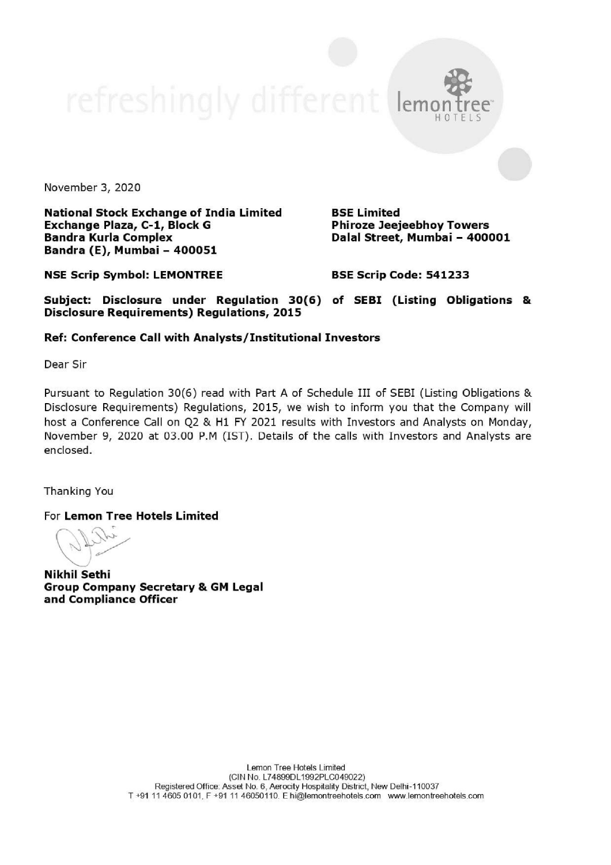November 3, 2020

National Stock Exchange of India Limited BSE Limited Exchange Plaza, C-1, Block G Phiroze Jeejeebhoy Towers Bandra Kurla Complex **Bandra Kurla Complex** Dalal Street, Mumbai - 400001 Bandra (E), Mumbai - 400051

emon tree' HOTELS

NSE Scrip Symbol: LEMONTREE BSE Scrip Code: 541233

Subject: Disclosure under Regulation 30(6) of SEBI (Listing Obligations & Disclosure Requirements) Regulations, 2015

## Ref: Conference Call with Analysts /Institutional Investors

Dear Sir

Pursuant to Regulation 30(6) read with Part A of Schedule III of SEBI (Listing Obligations & Disclosure Requirements) Regulations, 2015, we wish to inform you that the Company will host a Conference Call on Q2 & H1 FY 2021 results with Investors and Analysts on Monday, November 9, 2020 at 03.00 P.M (IST). Details of the calls with Investors and Analysts are enclosed.

Thanking You

For Lemon Tree Hotels Limited

 $($   $\sqrt{N}$   $\sqrt{N}$  $y'$ 

Nikhil Sethi Group Company Secretary & GM Legal and Compliance Officer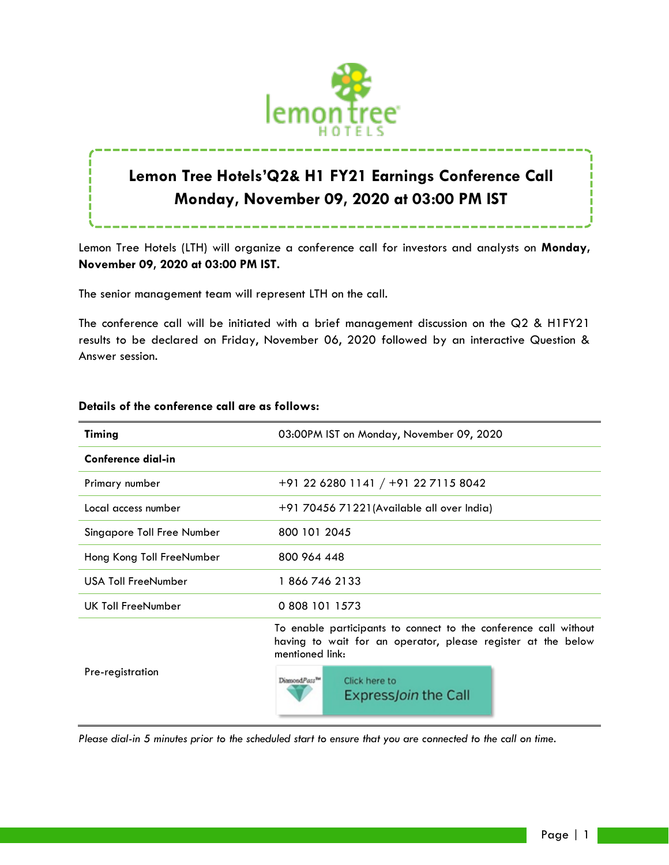

# **Lemon Tree Hotels'Q2& H1 FY21 Earnings Conference Call Monday, November 09, 2020 at 03:00 PM IST**

Lemon Tree Hotels (LTH) will organize a conference call for investors and analysts on **Monday, November 09, 2020 at 03:00 PM IST.**

The senior management team will represent LTH on the call.

The conference call will be initiated with a brief management discussion on the Q2 & H1FY21 results to be declared on Friday, November 06, 2020 followed by an interactive Question & Answer session.

| Timing                     | 03:00PM IST on Monday, November 09, 2020                                                                                                            |
|----------------------------|-----------------------------------------------------------------------------------------------------------------------------------------------------|
| Conference dial-in         |                                                                                                                                                     |
| Primary number             | +91 22 6280 1141 / +91 22 7115 8042                                                                                                                 |
| Local access number        | +91 70456 71221 (Available all over India)                                                                                                          |
| Singapore Toll Free Number | 800 101 2045                                                                                                                                        |
| Hong Kong Toll FreeNumber  | 800 964 448                                                                                                                                         |
| <b>USA Toll FreeNumber</b> | 18667462133                                                                                                                                         |
| UK Toll FreeNumber         | 0 808 101 1573                                                                                                                                      |
|                            | To enable participants to connect to the conference call without<br>having to wait for an operator, please register at the below<br>mentioned link: |
| Pre-registration           | DiamondPass <sup>TH</sup><br>Click here to<br>Express Join the Call                                                                                 |

## **Details of the conference call are as follows:**

*Please dial-in 5 minutes prior to the scheduled start to ensure that you are connected to the call on time.*